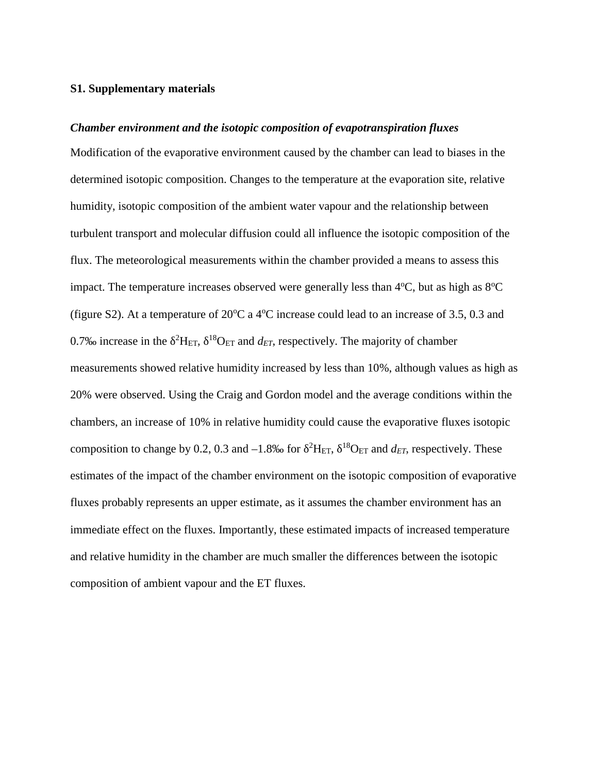## **S1. Supplementary materials**

## *Chamber environment and the isotopic composition of evapotranspiration fluxes*

Modification of the evaporative environment caused by the chamber can lead to biases in the determined isotopic composition. Changes to the temperature at the evaporation site, relative humidity, isotopic composition of the ambient water vapour and the relationship between turbulent transport and molecular diffusion could all influence the isotopic composition of the flux. The meteorological measurements within the chamber provided a means to assess this impact. The temperature increases observed were generally less than  $4^{\circ}C$ , but as high as  $8^{\circ}C$ (figure S2). At a temperature of  $20^{\circ}$ C a 4 $^{\circ}$ C increase could lead to an increase of 3.5, 0.3 and 0.7‰ increase in the  ${}^{2}H_{ET}$ ,  ${}^{18}O_{ET}$  and  $d_{ET}$ , respectively. The majority of chamber measurements showed relative humidity increased by less than 10%, although values as high as 20% were observed. Using the Craig and Gordon model and the average conditions within the chambers, an increase of 10% in relative humidity could cause the evaporative fluxes isotopic composition to change by 0.2, 0.3 and  $-1.8\%$  for <sup>2</sup>H<sub>ET</sub>, <sup>18</sup>O<sub>ET</sub> and *d<sub>ET</sub>*, respectively. These estimates of the impact of the chamber environment on the isotopic composition of evaporative fluxes probably represents an upper estimate, as it assumes the chamber environment has an immediate effect on the fluxes. Importantly, these estimated impacts of increased temperature and relative humidity in the chamber are much smaller the differences between the isotopic composition of ambient vapour and the ET fluxes.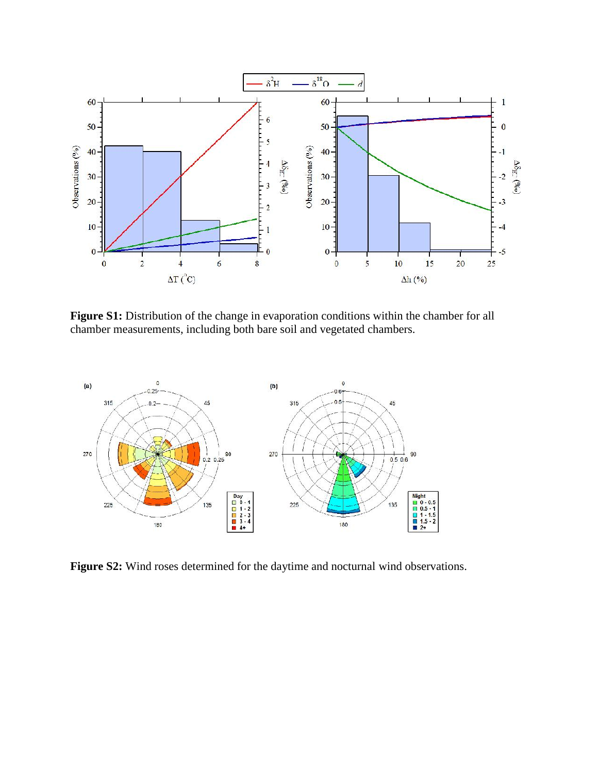

Figure S1: Distribution of the change in evaporation conditions within the chamber for all chamber measurements, including both bare soil and vegetated chambers.



**Figure S2:** Wind roses determined for the daytime and nocturnal wind observations.